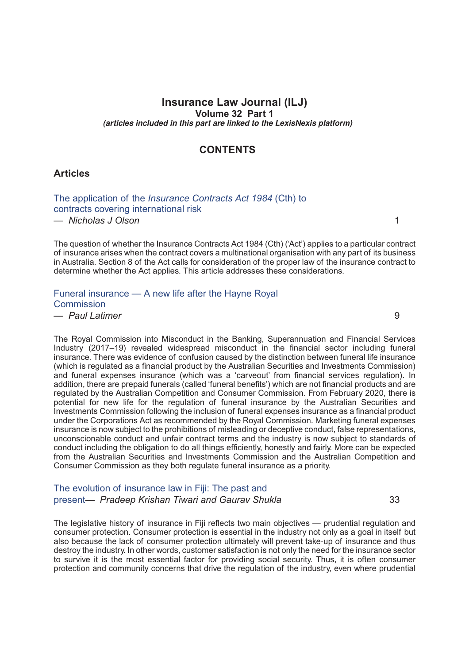## **Insurance Law Journal (ILJ) Volume 32 Part 1** *(articles included in this part are linked to the LexisNexis platform)*

# **CONTENTS**

#### **Articles**

The application of the *[Insurance Contracts Act 1984](http://advance.lexis.com/api/document?idtype=DOC-ID&id=005P-32ILJ1)* (Cth) to [contracts covering international risk](http://advance.lexis.com/api/document?idtype=DOC-ID&id=005P-32ILJ1)

*— Nicholas J Olson* 1

The question of whether the Insurance Contracts Act 1984 (Cth) ('Act') applies to a particular contract of insurance arises when the contract covers a multinational organisation with any part of its business in Australia. Section 8 of the Act calls for consideration of the proper law of the insurance contract to determine whether the Act applies. This article addresses these considerations.

# [Funeral insurance — A new life after the Hayne Royal](http://advance.lexis.com/api/document?idtype=DOC-ID&id=005P-32ILJ9) **[Commission](http://advance.lexis.com/api/document?idtype=DOC-ID&id=005P-32ILJ9)**

*— Paul Latimer* 9

The Royal Commission into Misconduct in the Banking, Superannuation and Financial Services Industry (2017–19) revealed widespread misconduct in the financial sector including funeral insurance. There was evidence of confusion caused by the distinction between funeral life insurance (which is regulated as a financial product by the Australian Securities and Investments Commission) and funeral expenses insurance (which was a 'carveout' from financial services regulation). In addition, there are prepaid funerals (called 'funeral benefits') which are not financial products and are regulated by the Australian Competition and Consumer Commission. From February 2020, there is potential for new life for the regulation of funeral insurance by the Australian Securities and Investments Commission following the inclusion of funeral expenses insurance as a financial product under the Corporations Act as recommended by the Royal Commission. Marketing funeral expenses insurance is now subject to the prohibitions of misleading or deceptive conduct, false representations, unconscionable conduct and unfair contract terms and the industry is now subject to standards of conduct including the obligation to do all things efficiently, honestly and fairly. More can be expected from the Australian Securities and Investments Commission and the Australian Competition and Consumer Commission as they both regulate funeral insurance as a priority.

## The evolution of [insurance](http://advance.lexis.com/api/document?idtype=DOC-ID&id=005P-32ILJ33) law in Fiji: The past and present*— Pradeep Krishan Tiwari and Gaurav Shukla* 33

The legislative history of insurance in Fiji reflects two main objectives — prudential regulation and consumer protection. Consumer protection is essential in the industry not only as a goal in itself but also because the lack of consumer protection ultimately will prevent take-up of insurance and thus destroy the industry. In other words, customer satisfaction is not only the need for the insurance sector to survive it is the most essential factor for providing social security. Thus, it is often consumer protection and community concerns that drive the regulation of the industry, even where prudential